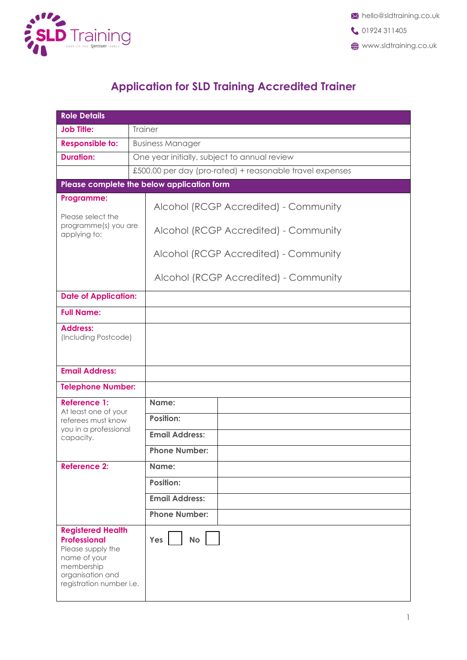

## **Application for SLD Training Accredited Trainer**

| <b>Role Details</b>                                                                                                                                |                                                          |  |  |
|----------------------------------------------------------------------------------------------------------------------------------------------------|----------------------------------------------------------|--|--|
| <b>Job Title:</b>                                                                                                                                  | <b>Trainer</b>                                           |  |  |
| <b>Responsible to:</b>                                                                                                                             | <b>Business Manager</b>                                  |  |  |
| <b>Duration:</b>                                                                                                                                   | One year initially, subject to annual review             |  |  |
|                                                                                                                                                    | £500.00 per day (pro-rated) + reasonable travel expenses |  |  |
|                                                                                                                                                    | Please complete the below application form               |  |  |
| Programme:<br>Please select the                                                                                                                    | Alcohol (RCGP Accredited) - Community                    |  |  |
| programme(s) you are<br>applying to:                                                                                                               | Alcohol (RCGP Accredited) - Community                    |  |  |
|                                                                                                                                                    | Alcohol (RCGP Accredited) - Community                    |  |  |
|                                                                                                                                                    | Alcohol (RCGP Accredited) - Community                    |  |  |
| <b>Date of Application:</b>                                                                                                                        |                                                          |  |  |
| <b>Full Name:</b>                                                                                                                                  |                                                          |  |  |
| <b>Address:</b><br>(Including Postcode)                                                                                                            |                                                          |  |  |
| <b>Email Address:</b>                                                                                                                              |                                                          |  |  |
| <b>Telephone Number:</b>                                                                                                                           |                                                          |  |  |
| <b>Reference 1:</b>                                                                                                                                | Name:                                                    |  |  |
| At least one of your<br>referees must know<br>you in a professional                                                                                | <b>Position:</b>                                         |  |  |
| capacity.                                                                                                                                          | <b>Email Address:</b>                                    |  |  |
|                                                                                                                                                    | <b>Phone Number:</b>                                     |  |  |
| <b>Reference 2:</b>                                                                                                                                | Name:                                                    |  |  |
|                                                                                                                                                    | <b>Position:</b>                                         |  |  |
|                                                                                                                                                    | <b>Email Address:</b>                                    |  |  |
|                                                                                                                                                    | <b>Phone Number:</b>                                     |  |  |
| <b>Registered Health</b><br><b>Professional</b><br>Please supply the<br>name of your<br>membership<br>organisation and<br>registration number i.e. | Yes<br><b>No</b>                                         |  |  |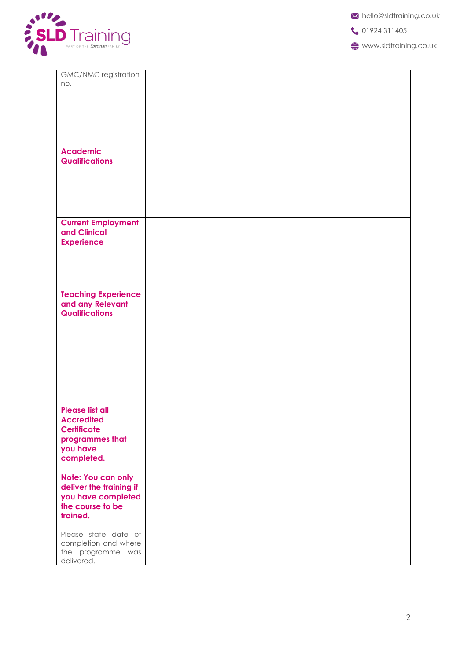

|  | X hello@sldtraining.co.uk |
|--|---------------------------|
|--|---------------------------|

01924 311405

**WWW.sldtraining.co.uk** 

| GMC/NMC registration<br>no.                             |  |
|---------------------------------------------------------|--|
|                                                         |  |
|                                                         |  |
|                                                         |  |
| <b>Academic</b>                                         |  |
| <b>Qualifications</b>                                   |  |
|                                                         |  |
|                                                         |  |
| <b>Current Employment</b>                               |  |
| and Clinical<br><b>Experience</b>                       |  |
|                                                         |  |
|                                                         |  |
| <b>Teaching Experience</b>                              |  |
| and any Relevant                                        |  |
| <b>Qualifications</b>                                   |  |
|                                                         |  |
|                                                         |  |
|                                                         |  |
|                                                         |  |
| <b>Please list all</b>                                  |  |
| <b>Accredited</b><br><b>Certificate</b>                 |  |
| programmes that<br>you have                             |  |
| completed.                                              |  |
| Note: You can only<br>deliver the training if           |  |
| you have completed                                      |  |
| the course to be<br>trained.                            |  |
| Please state date of                                    |  |
| completion and where<br>the programme was<br>delivered. |  |